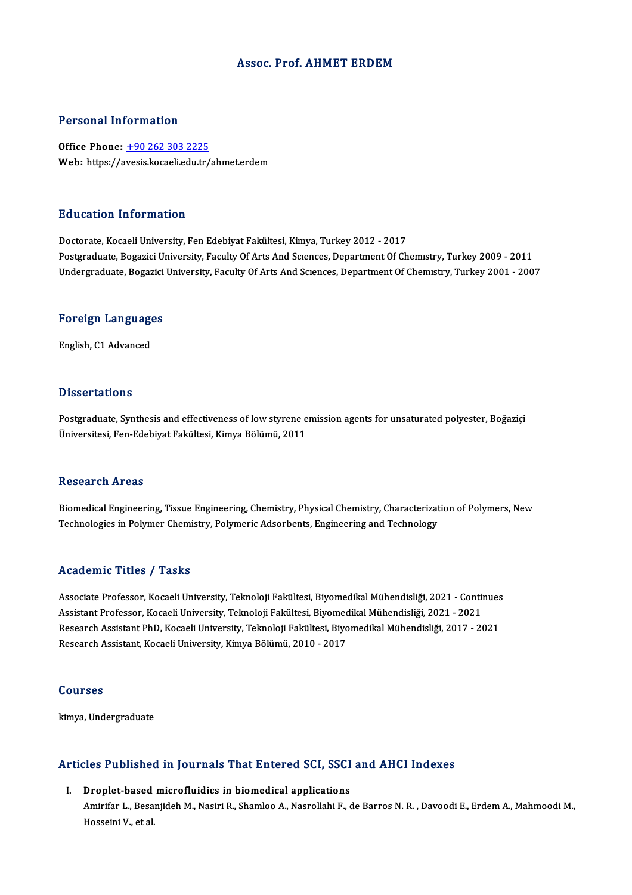### Assoc. Prof. AHMET ERDEM

### Personal Information

Office Phone: +90 262 303 2225 Web: https://a[vesis.kocaeli.edu.tr/](tel:+90 262 303 2225)ahmet.erdem

### Education Information

Doctorate, Kocaeli University, Fen Edebiyat Fakültesi, Kimya, Turkey 2012 - 2017 Postgraduate, Bogazici University, Faculty Of Arts And Sciences, Department Of Chemistry, Turkey 2009 - 2011 Undergraduate, Bogazici University, Faculty Of Arts And Sciences, Department Of Chemistry, Turkey 2001 - 2007

## <sub>ondergraduate, bogazici<br>Foreign Languages</sub> <mark>Foreign Languag</mark>e<br>English, C1 Advanced

English, C1 Advanced<br>Dissertations

Postgraduate, Synthesis and effectiveness of low styrene emission agents for unsaturated polyester, Boğaziçi Üniversitesi, Fen-Edebiyat Fakültesi, Kimya Bölümü, 2011

### Research Areas

Research Areas<br>Biomedical Engineering, Tissue Engineering, Chemistry, Physical Chemistry, Characterization of Polymers, New<br>Technologies in Polymer Chamistry, Polymeria Adenhanta, Engineering and Technology Tecocut on 111 cuo<br>Biomedical Engineering, Tissue Engineering, Chemistry, Physical Chemistry, Characterizat<br>Technologies in Polymer Chemistry, Polymeric Adsorbents, Engineering and Technology Technologies in Polymer Chemistry, Polymeric Adsorbents, Engineering and Technology<br>Academic Titles / Tasks

Academic Titles / Tasks<br>Associate Professor, Kocaeli University, Teknoloji Fakültesi, Biyomedikal Mühendisliği, 2021 - Continues<br>Assistant Professor, Kosaeli University, Teknoloji Fakültesi, Biyomedikal Mühendisliği, 2021, Associate Professor, Kocaeli University, Teknoloji Fakültesi, Biyomedikal Mühendisliği, 2021 - Contin<br>Assistant Professor, Kocaeli University, Teknoloji Fakültesi, Biyomedikal Mühendisliği, 2021 - 2021<br>Pessarah Assistant P Associate Professor, Kocaeli University, Teknoloji Fakültesi, Biyomedikal Mühendisliği, 2021 - Continues<br>Assistant Professor, Kocaeli University, Teknoloji Fakültesi, Biyomedikal Mühendisliği, 2021 - 2021<br>Research Assistan Assistant Professor, Kocaeli University, Teknoloji Fakültesi, Biyomedikal Mühendisliği, 2021 - 2021<br>Research Assistant PhD, Kocaeli University, Teknoloji Fakültesi, Biyomedikal Mühendisliği, 2017 - 2021<br>Research Assistant,

### Courses

kimya, Undergraduate

## кmya, ondergraduate<br>Articles Published in Journals That Entered SCI, SSCI and AHCI Indexes rticles Published in Journals That Entered SCI, SSCI<br>I. Droplet-based microfluidics in biomedical applications<br>Amirifan L. Beseniideb M. Nasiri B. Shamlee A. Nasnallabi E. 6

Ales Tubrished in Journals That Enter ou bor, Soor and Trivit Indones<br>Droplet-based microfluidics in biomedical applications<br>Amirifar L., Besanjideh M., Nasiri R., Shamloo A., Nasrollahi F., de Barros N. R. , Davoodi E., E Droplet-based<br>Amirifar L., Besa<br>Hosseini V., et al.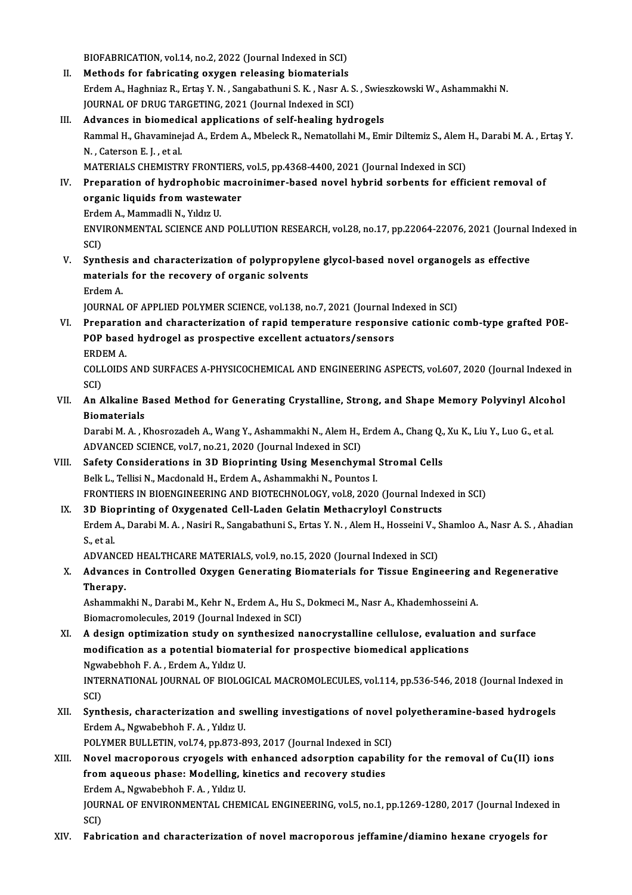BIOFABRICATION, vol.14, no.2, 2022 (Journal Indexed in SCI)<br>Mathods for fabricating ouvron releasing biomaterials

- BIOFABRICATION, vol.14, no.2, 2022 (Journal Indexed in SCI)<br>II. Methods for fabricating oxygen releasing biomaterials<br>Endom A. Hashnias B. Extas Y. N. Sangabathuni S. K. Noar A. BIOFABRICATION, vol.14, no.2, 2022 (Journal Indexed in SCI)<br>Methods for fabricating oxygen releasing biomaterials<br>Erdem A., Haghniaz R., Ertaş Y. N. , Sangabathuni S. K. , Nasr A. S. , Swieszkowski W., Ashammakhi N.<br>JOUPNA Methods for fabricating oxygen releasing biomaterials<br>Erdem A., Haghniaz R., Ertaş Y. N. , Sangabathuni S. K. , Nasr A. S<br>JOURNAL OF DRUG TARGETING, 2021 (Journal Indexed in SCI)<br>Advances in biomodical applications of self Erdem A., Haghniaz R., Ertaş Y. N., Sangabathuni S. K., Nasr A. S., Swies<br>JOURNAL OF DRUG TARGETING, 2021 (Journal Indexed in SCI)<br>III. Advances in biomedical applications of self-healing hydrogels<br>Pammal H. Chavaminaiad A
- JOURNAL OF DRUG TARGETING, 2021 (Journal Indexed in SCI)<br><mark>Advances in biomedical applications of self-healing hydrogels</mark><br>Rammal H., Ghavaminejad A., Erdem A., Mbeleck R., Nematollahi M., Emir Diltemiz S., Alem H., Darabi M **Advances in biomedi<br>Rammal H., Ghavamine<br>N. , Caterson E. J. , et al.<br>MATERIALS CUEMISTR** Rammal H., Ghavaminejad A., Erdem A., Mbeleck R., Nematollahi M., Emir Diltemiz S., Alem<br>N. , Caterson E. J. , et al.<br>MATERIALS CHEMISTRY FRONTIERS, vol.5, pp.4368-4400, 2021 (Journal Indexed in SCI)<br>Preparation of hydroph N. , Caterson E. J. , et al.<br>MATERIALS CHEMISTRY FRONTIERS, vol.5, pp.4368-4400, 2021 (Journal Indexed in SCI)<br>IV. Preparation of hydrophobic macroinimer-based novel hybrid sorbents for efficient removal of

MATERIALS CHEMISTRY FRONTIERS,<br>Preparation of hydrophobic mac<br>organic liquids from wastewater<br>Erdem A. Mammadli N. Vildus II Preparation of hydrophobic<br>organic liquids from wastew<br>Erdem A., Mammadli N., Yıldız U.<br>ENWIPONMENTAL SCIENCE AND Erdem A., Mammadli N., Yıldız U.

ENVIRONMENTAL SCIENCE AND POLLUTION RESEARCH, vol.28, no.17, pp.22064-22076, 2021 (Journal Indexed in SCI) ENVIRONMENTAL SCIENCE AND POLLUTION RESEARCH, vol.28, no.17, pp.22064-22076, 2021 (Journal<br>SCI)<br>V. Synthesis and characterization of polypropylene glycol-based novel organogels as effective<br>materials for the recevery of ex

SCI)<br>Synthesis and characterization of polypropylem<br>materials for the recovery of organic solvents<br>Endem A Synthesi<br>material<br>Erdem A.<br>JOUPMAL materials for the recovery of organic solvents<br>Erdem A.<br>JOURNAL OF APPLIED POLYMER SCIENCE, vol.138, no.7, 2021 (Journal Indexed in SCI)

VI. Preparation and characterization of rapid temperature responsive cationic comb-type grafted POE-JOURNAL OF APPLIED POLYMER SCIENCE, vol.138, no.7, 2021 (Journal I)<br>Preparation and characterization of rapid temperature responsi<br>POP based hydrogel as prospective excellent actuators/sensors<br>FPDFM A Preparati<br>POP base<br>ERDEM A.<br>COLLODS POP based hydrogel as prospective excellent actuators/sensors<br>ERDEM A.<br>COLLOIDS AND SURFACES A-PHYSICOCHEMICAL AND ENGINEERING ASPECTS, vol.607, 2020 (Journal Indexed in<br>SCD

ERDI<br>COLI<br>SCI)<br>An A COLLOIDS AND SURFACES A-PHYSICOCHEMICAL AND ENGINEERING ASPECTS, vol.607, 2020 (Journal Indexed i<br>SCI)<br>VII. An Alkaline Based Method for Generating Crystalline, Strong, and Shape Memory Polyvinyl Alcohol<br>Biomaterials

SCI)<br>An Alkaline B<br>Biomaterials<br>Darabi M. A. B An Alkaline Based Method for Generating Crystalline, Strong, and Shape Memory Polyvinyl Alcoh<br>Biomaterials<br>Darabi M. A. , Khosrozadeh A., Wang Y., Ashammakhi N., Alem H., Erdem A., Chang Q., Xu K., Liu Y., Luo G., et al.<br>A

Biomaterials<br>Darabi M. A. , Khosrozadeh A., Wang Y., Ashammakhi N., Alem H., .<br>ADVANCED SCIENCE, vol.7, no.21, 2020 (Journal Indexed in SCI)<br>Safaty Considerations in 3D. Bionrinting Heing Mesonshym Darabi M. A. , Khosrozadeh A., Wang Y., Ashammakhi N., Alem H., Erdem A., Chang Q., Xu K., Liu Y., Luo G., et al.<br>ADVANCED SCIENCE, vol.7, no.21, 2020 (Journal Indexed in SCI)<br>VIII. Safety Considerations in 3D Bioprinting

- ADVANCED SCIENCE, vol.7, no.21, 2020 (Journal Indexed in SCI)<br>Safety Considerations in 3D Bioprinting Using Mesenchymal<br>Belk L., Tellisi N., Macdonald H., Erdem A., Ashammakhi N., Pountos I.<br>ERONTIERS IN BIOENCINEERING AND Safety Considerations in 3D Bioprinting Using Mesenchymal Stromal Cells<br>Belk L., Tellisi N., Macdonald H., Erdem A., Ashammakhi N., Pountos I.<br>FRONTIERS IN BIOENGINEERING AND BIOTECHNOLOGY, vol.8, 2020 (Journal Indexed in Belk L., Tellisi N., Macdonald H., Erdem A., Ashammakhi N., Pountos I.<br>FRONTIERS IN BIOENGINEERING AND BIOTECHNOLOGY, vol.8, 2020 (Journal Index<br>IX. 3D Bioprinting of Oxygenated Cell-Laden Gelatin Methacryloyl Constructs<br>F
- Erdem A., Darabi M. A. , Nasiri R., Sangabathuni S., Ertas Y. N. , Alem H., Hosseini V., Shamloo A., Nasr A. S. , Ahadian<br>S., et al. IX. 3D Bioprinting of Oxygenated Cell-Laden Gelatin Methacryloyl Constructs Erdem A., Darabi M. A. , Nasiri R., Sangabathuni S., Ertas Y. N. , Alem H., Hosseini V., S.<br>S., et al.<br>ADVANCED HEALTHCARE MATERIALS, vol.9, no.15, 2020 (Journal Indexed in SCI)<br>Advances in Controlled Oyygon Concrating Bio

S., et al.<br>ADVANCED HEALTHCARE MATERIALS, vol.9, no.15, 2020 (Journal Indexed in SCI)<br>X. Advances in Controlled Oxygen Generating Biomaterials for Tissue Engineering and Regenerative<br>Thereny ADVANCE<br>Advances<br>Therapy. Advances in Controlled Oxygen Generating Biomaterials for Tissue Engineering a<br>Therapy.<br>Ashammakhi N., Darabi M., Kehr N., Erdem A., Hu S., Dokmeci M., Nasr A., Khademhosseini A.<br>Biomagnomalagulas 2010 (Journal Indoved in

Therapy.<br>Ashammakhi N., Darabi M., Kehr N., Erdem A., Hu S., Dokmeci M., Nasr A., Khademhosseini A.<br>Biomacromolecules, 2019 (Journal Indexed in SCI) Ashammakhi N., Darabi M., Kehr N., Erdem A., Hu S., Dokmeci M., Nasr A., Khademhosseini A.<br>Biomacromolecules, 2019 (Journal Indexed in SCI)<br>XI. A design optimization study on synthesized nanocrystalline cellulose, evaluati

- Biomacromolecules, 2019 (Journal Indexed in SCI)<br>A design optimization study on synthesized nanocrystalline cellulose, evaluation<br>modification as a potential biomaterial for prospective biomedical applications<br>Nguabebbob E A design optimization study on sy<br>modification as a potential bioma<br>Ngwabebhoh F.A., Erdem A., Yıldız U.<br>INTERNATIONAL JOURNAL OF PIOLOG modification as a potential biomaterial for prospective biomedical applications<br>Ngwabebhoh F. A. , Erdem A., Yıldız U.<br>INTERNATIONAL JOURNAL OF BIOLOGICAL MACROMOLECULES, vol.114, pp.536-546, 2018 (Journal Indexed in<br>SCD Ngwa<br>INTE<br>SCI)<br>Sunt INTERNATIONAL JOURNAL OF BIOLOGICAL MACROMOLECULES, vol.114, pp.536-546, 2018 (Journal Indexed i<br>SCI)<br>XII. Synthesis, characterization and swelling investigations of novel polyetheramine-based hydrogels<br>Frdem A. Nouphebbel
- SCI)<br>S**ynthesis, characterization and s**v<br>Erdem A., Ngwabebhoh F. A. , Yıldız U.<br>POLYMER BULLETIN, YOL74 nn 973-9 Synthesis, characterization and swelling investigations of novel<br>Erdem A., Ngwabebhoh F. A. , Yıldız U.<br>POLYMER BULLETIN, vol.74, pp.873-893, 2017 (Journal Indexed in SCI)<br>Novel megneneneve envegels with enhanced adeenntio

Erdem A., Ngwabebhoh F. A. , Yıldız U.<br>POLYMER BULLETIN, vol.74, pp.873-893, 2017 (Journal Indexed in SCI)<br>XIII. Novel macroporous cryogels with enhanced adsorption capability for the removal of Cu(II) ions<br>from agueous ph POLYMER BULLETIN, vol.74, pp.873-893, 2017 (Journal Indexed in SCI)<br>Novel macroporous cryogels with enhanced adsorption capabil<br>from aqueous phase: Modelling, kinetics and recovery studies Novel macroporous cryogels with<br>from aqueous phase: Modelling, k<br>Erdem A., Ngwabebhoh F.A., Yıldız U.<br>JOUPNAL OF ENVIRONMENTAL CHEM JOURNAL OF ENVIRONMENTAL CHEMICAL ENGINEERING, vol.5, no.1, pp.1269-1280, 2017 (Journal Indexed in SCI) Erdem A., Ngwabebhoh F. A., Yıldız U.

XIV. Fabrication and characterization of novelmacroporous jeffamine/diamino hexane cryogels for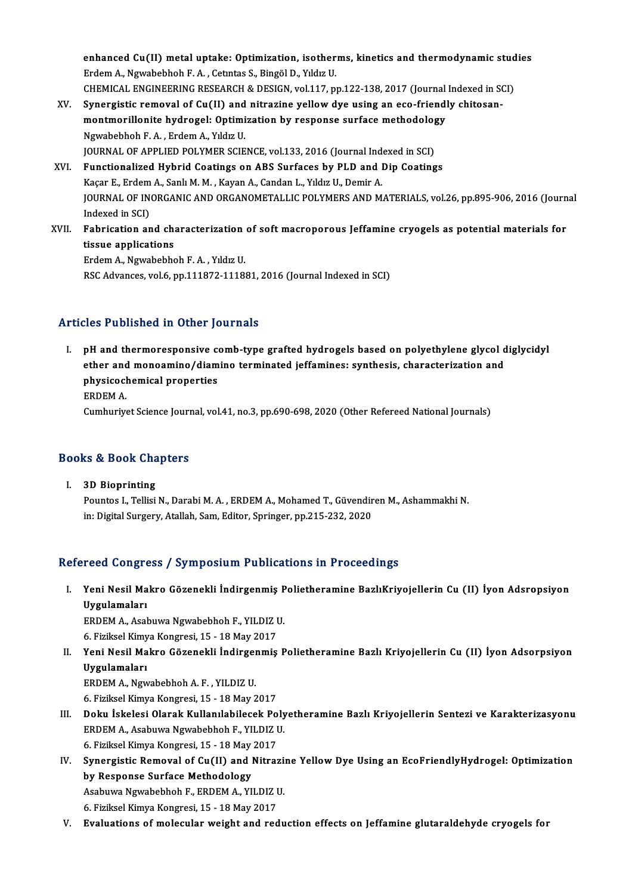enhanced Cu(II) metal uptake: Optimization, isotherms, kinetics and thermodynamic studies<br>Endem A. Nauphebbeb E.A. Cetutes S. Bingöl D. Vildu II enhanced Cu(II) metal uptake: Optimization, isother<br>Erdem A., Ngwabebhoh F. A. , Cetıntas S., Bingöl D., Yıldız U.<br>CHEMICAL ENCINEERING RESEARCH & DESICN vol.117, m enhanced Cu(II) metal uptake: Optimization, isotherms, kinetics and thermodynamic studender.<br>Erdem A., Ngwabebhoh F. A. , Cetutas S., Bingöl D., Yıldız U.<br>CHEMICAL ENGINEERING RESEARCH & DESIGN, vol.117, pp.122-138, 2017 ( Erdem A., Ngwabebhoh F. A. , Cetntas S., Bingöl D., Yıldız U.<br>CHEMICAL ENGINEERING RESEARCH & DESIGN, vol.117, pp.122-138, 2017 (Journal Indexed in St.<br>XV. Synergistic removal of Cu(II) and nitrazine yellow dye using an ec

- CHEMICAL ENGINEERING RESEARCH & DESIGN, vol.117, pp.122-138, 2017 (Journal<br>Synergistic removal of Cu(II) and nitrazine yellow dye using an eco-friend!<br>montmorillonite hydrogel: Optimization by response surface methodology<br> Synergistic removal of Cu(II) and<br>montmorillonite hydrogel: Optimi<br>Ngwabebhoh F.A., Erdem A., Yıldız U.<br>JOUPNAL OF APPLIED POLYMER SCIE montmorillonite hydrogel: Optimization by response surface methodology<br>Ngwabebhoh F. A., Erdem A., Yıldız U. JOURNAL OF APPLIED POLYMER SCIENCE, vol.133, 2016 (Journal Indexed in SCI)
- XVI. Functionalized Hybrid Coatings on ABS Surfaces by PLD and Dip Coatings<br>Kaçar E., Erdem A., Sanlı M. M., Kayan A., Candan L., Yıldız U., Demir A. Functionalized Hybrid Coatings on ABS Surfaces by PLD and Dip Coatings<br>Kaçar E., Erdem A., Sanlı M. M. , Kayan A., Candan L., Yıldız U., Demir A.<br>JOURNAL OF INORGANIC AND ORGANOMETALLIC POLYMERS AND MATERIALS, vol.26, pp.8 Kaçar E., Erdem<br>JOURNAL OF IN<br>Indexed in SCI)<br>Echnication or JOURNAL OF INORGANIC AND ORGANOMETALLIC POLYMERS AND MATERIALS, vol.26, pp.895-906, 2016 (Journ<br>Indexed in SCI)<br>XVII. Fabrication and characterization of soft macroporous Jeffamine cryogels as potential materials for<br>tissu
- Indexed in SCI)<br>XVII. Fabrication and characterization of soft macroporous Jeffamine cryogels as potential materials for<br>tissue applications

ErdemA.,Ngwabebhoh F.A. ,YıldızU. RSC Advances, vol.6, pp.111872-111881, 2016 (Journal Indexed in SCI)

### Articles Published in Other Journals

I. pH and thermoresponsive comb-type grafted hydrogels based on polyethylene glycol diglycidyl ether and thermoresponsive comb-type grafted hydrogels based on polyethylene glycol d<br>ether and monoamino/diamino terminated jeffamines: synthesis, characterization and<br>physiseshemisel preperties pH and thermoresponsive complement and monoamino/diam<br>physicochemical properties<br>EPDEM A ether and<br>physicocl<br>ERDEM A.<br>Cumburive physicochemical properties<br>ERDEM A.<br>Cumhuriyet Science Journal, vol.41, no.3, pp.690-698, 2020 (Other Refereed National Journals)

# Cumnuriyet Science journ<br>Books & Book Chapters

ooks & Book Cha<br>I. 3D Bioprinting<br>Pountes L Tellisi I. 3D Bioprinting<br>Pountos I., Tellisi N., Darabi M. A., ERDEM A., Mohamed T., Güvendiren M., Ashammakhi N. in: Digital Surgery, Atallah, Sam, Editor, Springer, pp.215-232, 2020

## Refereed Congress / Symposium Publications in Proceedings

efereed Congress / Symposium Publications in Proceedings<br>I. Yeni Nesil Makro Gözenekli İndirgenmiş Polietheramine BazlıKriyojellerin Cu (II) İyon Adsropsiyon<br>Ilyanlamaları Yeni Nesil Ma<br>Yeni Nesil Ma<br>Uygulamaları<br>EPDEM A. Acal Yeni Nesil Makro Gözenekli İndirgenmiş P<br>Uygulamaları<br>ERDEM A., Asabuwa Ngwabebhoh F., YILDIZ U.<br>6. Firilmel Kimya Kongresi 15 - 18 May 2017

Uygulamaları<br>ERDEM A., Asabuwa Ngwabebhoh F., YILDIZ I<br>6. Fiziksel Kimya Kongresi, 15 - 18 May 2017<br>Yoni Nesil Makre Görenekli İndirsenmiş

ERDEM A., Asabuwa Ngwabebhoh F., YILDIZ U.<br>6. Fiziksel Kimya Kongresi, 15 - 18 May 2017<br>II. Yeni Nesil Makro Gözenekli İndirgenmiş Polietheramine Bazlı Kriyojellerin Cu (II) İyon Adsorpsiyon<br>Uygulamaları 6. Fiziksel Kimya Kongresi, 15 - 18 May 2017<br>Yeni Nesil Makro Gözenekli İndirgenmiş<br>Uygulamaları<br>ERDEM A., Ngwabebhoh A. F., YILDIZ U. Yeni Nesil Makro Gözenekli İndirger<br>Uygulamaları<br>ERDEM A., Ngwabebhoh A.F., YILDIZ U.<br>6. Firikeel Kimye Kongresi 15, 19 Mev 2

6.FizikselKimyaKongresi,15 -18May2017

- I I. BRDEM A., Ngwabebhoh A. F. , YILDIZ U.<br>15 18 May 2017<br>III. Doku İskelesi Olarak Kullanılabilecek Polyetheramine Bazlı Kriyojellerin Sentezi ve Karakterizasyonu<br>II. FPDEM A. Asəbuya Ngunbəbbəb E. YU DIZ U. 6. Fiziksel Kimya Kongresi, 15 - 18 May 2017<br>Doku İskelesi Olarak Kullanılabilecek Poly<br>ERDEM A., Asabuwa Ngwabebhoh F., YILDIZ U.<br>6. Fiziksel Kimya Kongresi, 15 - 18 May 2017 Doku İskelesi Olarak Kullanılabilecek Po<br>ERDEM A., Asabuwa Ngwabebhoh F., YILDIZ I<br>6. Fiziksel Kimya Kongresi, 15 - 18 May 2017<br>Synongistia Bomoval of Cu(II) ond Nitros ERDEM A., Asabuwa Ngwabebhoh F., YILDIZ U.<br>6. Fiziksel Kimya Kongresi, 15 - 18 May 2017<br>IV. Synergistic Removal of Cu(II) and Nitrazine Yellow Dye Using an EcoFriendlyHydrogel: Optimization<br>by Pernance Surface Methodol
- 6. Fiziksel Kimya Kongresi, 15 18 May<br>Synergistic Removal of Cu(II) and l<br>by Response Surface Methodology<br>Asshuve Newsbabbab E. EPDEM A. VI Synergistic Removal of Cu(II) and Nitrazi:<br>by Response Surface Methodology<br>Asabuwa Ngwabebhoh F., ERDEM A., YILDIZ U.<br>6. Firikaal Kimus Kongresi 15 - 18 May 2017 by Response Surface Methodology<br>Asabuwa Ngwabebhoh F., ERDEM A., YILDIZ U.<br>6. Fiziksel Kimya Kongresi, 15 - 18 May 2017
- V. Evaluations of molecular weight and reduction effects on Jeffamine glutaraldehyde cryogels for